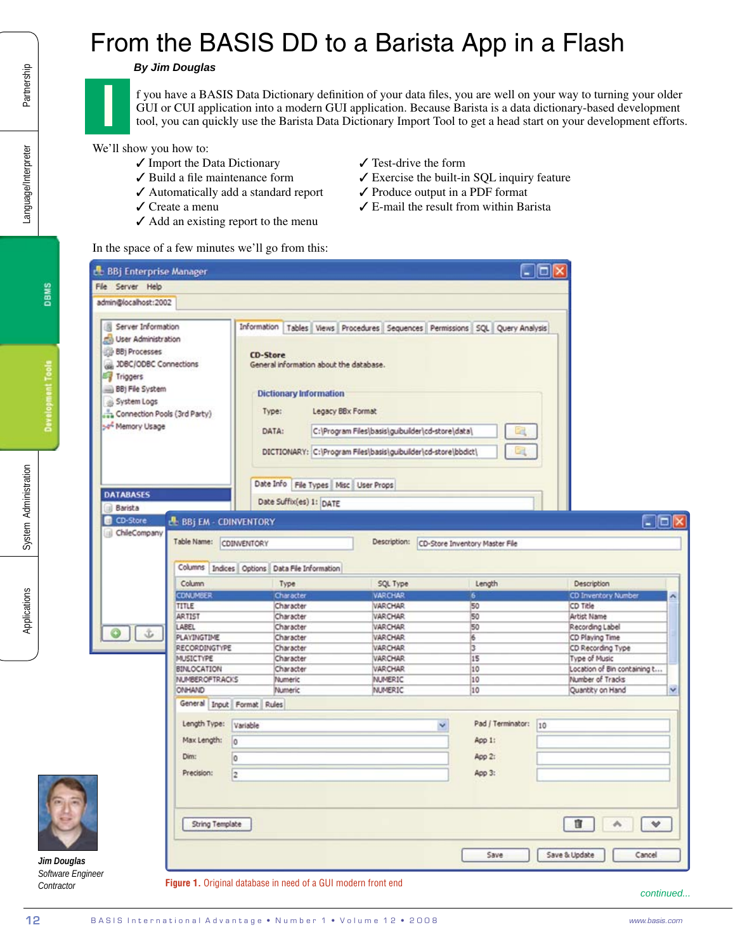## From the BASIS DD to a Barista App in a Flash

## *By Jim Douglas*

- $\checkmark$  Import the Data Dictionary
- $\checkmark$  Build a file maintenance form
- ✔ Automatically add a standard report
- $\checkmark$  Create a menu
- $\checkmark$  Add an existing report to the menu
- $\checkmark$  Test-drive the form
- $\checkmark$  Exercise the built-in SQL inquiry feature
- $\checkmark$  Produce output in a PDF format
- $\boldsymbol{\checkmark}$  E-mail the result from within Barista

|                                                                                                                                                                                                                                                                                                                                                                      |                                                                | <b>By Jim Douglas</b>                                                                                                                                                                                           |                                                                                       |                                                                                 |                                                                                                                                                |                                      |  |
|----------------------------------------------------------------------------------------------------------------------------------------------------------------------------------------------------------------------------------------------------------------------------------------------------------------------------------------------------------------------|----------------------------------------------------------------|-----------------------------------------------------------------------------------------------------------------------------------------------------------------------------------------------------------------|---------------------------------------------------------------------------------------|---------------------------------------------------------------------------------|------------------------------------------------------------------------------------------------------------------------------------------------|--------------------------------------|--|
| Partnership<br>f you have a BASIS Data Dictionary definition of your data files, you are well on your way to turning your older<br>GUI or CUI application into a modern GUI application. Because Barista is a data dictionary-based development<br>tool, you can quickly use the Barista Data Dictionary Import Tool to get a head start on your development efforts |                                                                |                                                                                                                                                                                                                 |                                                                                       |                                                                                 |                                                                                                                                                |                                      |  |
| Language/Interpreter                                                                                                                                                                                                                                                                                                                                                 | We'll show you how to:                                         | ✔ Import the Data Dictionary<br>$\checkmark$ Build a file maintenance form<br>$\checkmark$ Automatically add a standard report<br>$\checkmark$ Create a menu<br>$\checkmark$ Add an existing report to the menu |                                                                                       | $\checkmark$ Test-drive the form<br>$\checkmark$ Produce output in a PDF format | ✔ Exercise the built-in SQL inquiry feature<br>$\angle$ E-mail the result from within Barista                                                  |                                      |  |
|                                                                                                                                                                                                                                                                                                                                                                      |                                                                | In the space of a few minutes we'll go from this:                                                                                                                                                               |                                                                                       |                                                                                 |                                                                                                                                                |                                      |  |
|                                                                                                                                                                                                                                                                                                                                                                      | <b>EL BBj Enterprise Manager</b>                               |                                                                                                                                                                                                                 |                                                                                       |                                                                                 |                                                                                                                                                | - 101                                |  |
| <b>DBMS</b>                                                                                                                                                                                                                                                                                                                                                          | File Server Help                                               |                                                                                                                                                                                                                 |                                                                                       |                                                                                 |                                                                                                                                                |                                      |  |
|                                                                                                                                                                                                                                                                                                                                                                      | admin@localhost:2002                                           |                                                                                                                                                                                                                 |                                                                                       |                                                                                 |                                                                                                                                                |                                      |  |
| Server Information<br>User Administration<br><b>BB</b> ) Processes<br><b>Development Tools</b><br>JDBC/ODBC Connections<br>Triggers<br>BBj File System<br>System Logs<br>Connection Pools (3rd Party)<br>Memory Usage                                                                                                                                                |                                                                | <b>CD-Store</b><br>General information about the database.<br><b>Dictionary Information</b><br>Type:<br>DATA:<br>DICTIONARY: C:\Program Files\basis\guibuilder\cd-store\bbdict\                                 |                                                                                       | Legacy BBx Format                                                               | Information   Tables   Views   Procedures   Sequences   Permissions   SQL   Query Analysis<br>C:\Program Files\basis\guibuilder\cd-store\data\ |                                      |  |
| System Administration                                                                                                                                                                                                                                                                                                                                                | <b>DATABASES</b><br><b>Barista</b><br>CD-Store<br>ChileCompany | <b>EL BBi EM - CDINVENTORY</b><br>Table Name:<br>CDINVENTORY                                                                                                                                                    | Date Info<br>Date Suffix(es) 1: DATE<br>Columns Indices Options Data File Information | File Types   Misc   User Props<br>Description:                                  | CD-Store Inventory Master File                                                                                                                 | $\blacksquare$ ok                    |  |
|                                                                                                                                                                                                                                                                                                                                                                      |                                                                | Column                                                                                                                                                                                                          | Type                                                                                  | SQL Type                                                                        | Length                                                                                                                                         | Description                          |  |
| Applications                                                                                                                                                                                                                                                                                                                                                         |                                                                | CDNUMBER                                                                                                                                                                                                        | Character                                                                             | <b>VARCHAR</b>                                                                  | 6                                                                                                                                              | <b>CD Inventory Number</b>           |  |
|                                                                                                                                                                                                                                                                                                                                                                      |                                                                | TITLE<br><b>ARTIST</b>                                                                                                                                                                                          | Character<br>Character                                                                | <b>VARCHAR</b><br><b>VARCHAR</b>                                                | 50<br>50                                                                                                                                       | CD Title<br>Artist Name              |  |
|                                                                                                                                                                                                                                                                                                                                                                      |                                                                | LABEL                                                                                                                                                                                                           | Character                                                                             | <b>VARCHAR</b>                                                                  | 50                                                                                                                                             | Recording Label                      |  |
|                                                                                                                                                                                                                                                                                                                                                                      |                                                                | PLAYINGTIME<br><b>RECORDINGTYPE</b>                                                                                                                                                                             | Character<br>Character                                                                | <b>VARCHAR</b><br><b>VARCHAR</b>                                                | 16<br>3                                                                                                                                        | CD Playing Time<br>CD Recording Type |  |
|                                                                                                                                                                                                                                                                                                                                                                      |                                                                | <b>MUSICTYPE</b>                                                                                                                                                                                                | Character                                                                             | <b>VARCHAR</b>                                                                  | 15                                                                                                                                             | Type of Music                        |  |
|                                                                                                                                                                                                                                                                                                                                                                      |                                                                | <b>BINLOCATION</b>                                                                                                                                                                                              | Character                                                                             | <b>VARCHAR</b>                                                                  | 10                                                                                                                                             | Location of Bin containing t         |  |
|                                                                                                                                                                                                                                                                                                                                                                      |                                                                | NUMBER OF TRACKS                                                                                                                                                                                                | Numeric                                                                               | <b>NUMERIC</b>                                                                  | 10                                                                                                                                             | Number of Tracks                     |  |
|                                                                                                                                                                                                                                                                                                                                                                      |                                                                | ONHAND                                                                                                                                                                                                          | Numeric                                                                               | <b>NUMERIC</b>                                                                  | 10                                                                                                                                             | $\checkmark$<br>Quantity on Hand     |  |
|                                                                                                                                                                                                                                                                                                                                                                      |                                                                | General Input Format Rules                                                                                                                                                                                      |                                                                                       |                                                                                 |                                                                                                                                                |                                      |  |
|                                                                                                                                                                                                                                                                                                                                                                      |                                                                | Length Type:<br>Variable                                                                                                                                                                                        |                                                                                       |                                                                                 | Pad / Terminator:                                                                                                                              | 10                                   |  |
|                                                                                                                                                                                                                                                                                                                                                                      |                                                                | Max Length:<br>١o                                                                                                                                                                                               |                                                                                       |                                                                                 | App 1:                                                                                                                                         |                                      |  |
|                                                                                                                                                                                                                                                                                                                                                                      |                                                                | Dim:<br>۱o                                                                                                                                                                                                      |                                                                                       |                                                                                 | App 2:                                                                                                                                         |                                      |  |
|                                                                                                                                                                                                                                                                                                                                                                      |                                                                | Precision:                                                                                                                                                                                                      |                                                                                       |                                                                                 | App 3:                                                                                                                                         |                                      |  |
|                                                                                                                                                                                                                                                                                                                                                                      |                                                                | l2                                                                                                                                                                                                              |                                                                                       |                                                                                 |                                                                                                                                                |                                      |  |
|                                                                                                                                                                                                                                                                                                                                                                      |                                                                | String Template                                                                                                                                                                                                 |                                                                                       |                                                                                 |                                                                                                                                                | û.<br>٨<br>$\rightsquigarrow$        |  |
| Jim Douglas                                                                                                                                                                                                                                                                                                                                                          |                                                                |                                                                                                                                                                                                                 |                                                                                       |                                                                                 | Save                                                                                                                                           | Save & Update<br>Cancel              |  |
| Software Engineer                                                                                                                                                                                                                                                                                                                                                    |                                                                |                                                                                                                                                                                                                 |                                                                                       |                                                                                 |                                                                                                                                                |                                      |  |
| Contractor                                                                                                                                                                                                                                                                                                                                                           |                                                                |                                                                                                                                                                                                                 | Figure 1. Original database in need of a GUI modern front end                         |                                                                                 |                                                                                                                                                | continued.                           |  |
| 12                                                                                                                                                                                                                                                                                                                                                                   |                                                                |                                                                                                                                                                                                                 |                                                                                       | BASIS International Advantage . Number 1 . Volume 12 . 2008                     |                                                                                                                                                | www.basis.com                        |  |

*continued...*